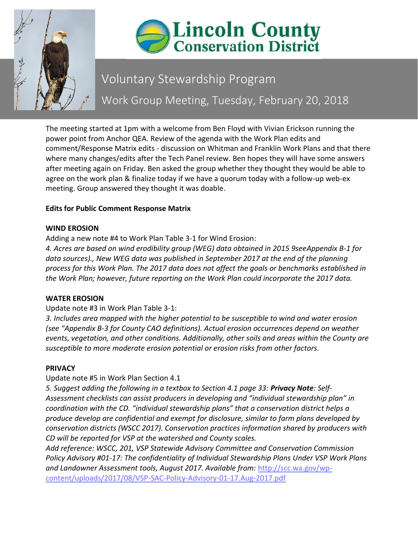



# Voluntary Stewardship Program Work Group Meeting, Tuesday, February 20, 2018

The meeting started at 1pm with a welcome from Ben Floyd with Vivian Erickson running the power point from Anchor QEA. Review of the agenda with the Work Plan edits and comment/Response Matrix edits - discussion on Whitman and Franklin Work Plans and that there where many changes/edits after the Tech Panel review. Ben hopes they will have some answers after meeting again on Friday. Ben asked the group whether they thought they would be able to agree on the work plan & finalize today if we have a quorum today with a follow-up web-ex meeting. Group answered they thought it was doable.

## **Edits for Public Comment Response Matrix**

## **WIND EROSION**

Adding a new note #4 to Work Plan Table 3-1 for Wind Erosion:

*4. Acres are based on wind erodibility group (WEG) data obtained in 2015 9seeAppendix B-1 for data sources)., New WEG data was published in September 2017 at the end of the planning process for this Work Plan. The 2017 data does not affect the goals or benchmarks established in the Work Plan; however, future reporting on the Work Plan could incorporate the 2017 data.*

## **WATER EROSION**

## Update note #3 in Work Plan Table 3-1:

*3. Includes area mapped with the higher potential to be susceptible to wind and water erosion (see "Appendix B-3 for County CAO definitions). Actual erosion occurrences depend on weather events, vegetation, and other conditions. Additionally, other soils and areas within the County are susceptible to more moderate erosion potential or erosion risks from other factors.*

## **PRIVACY**

Update note #5 in Work Plan Section 4.1

*5. Suggest adding the following in a textbox to Section 4.1 page 33: Privacy Note: Self-Assessment checklists can assist producers in developing and "individual stewardship plan" in coordination with the CD. "individual stewardship plans" that a conservation district helps a produce develop are confidential and exempt for disclosure, similar to farm plans developed by conservation districts (WSCC 2017). Conservation practices information shared by producers with CD will be reported for VSP at the watershed and County scales.* 

*Add reference: WSCC, 201, VSP Statewide Advisory Committee and Conservation Commission Policy Advisory #01-17: The confidentiality of Individual Stewardship Plans Under VSP Work Plans and Landowner Assessment tools, August 2017. Available from:* [http://scc.wa.gov/wp](http://scc.wa.gov/wp-content/uploads/2017/08/VSP-SAC-Policy-Advisory-01-17.Aug-2017.pdf)[content/uploads/2017/08/VSP-SAC-Policy-Advisory-01-17.Aug-2017.pdf](http://scc.wa.gov/wp-content/uploads/2017/08/VSP-SAC-Policy-Advisory-01-17.Aug-2017.pdf)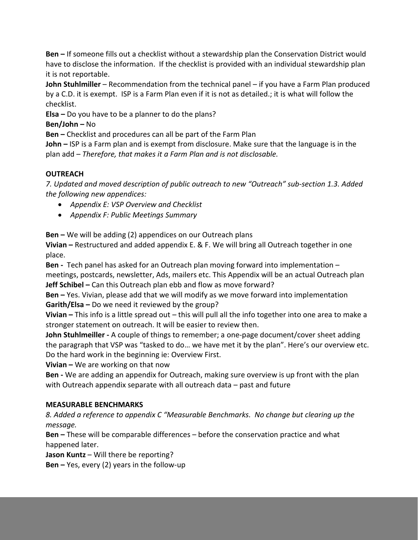**Ben –** If someone fills out a checklist without a stewardship plan the Conservation District would have to disclose the information. If the checklist is provided with an individual stewardship plan it is not reportable.

**John Stuhlmiller** – Recommendation from the technical panel – if you have a Farm Plan produced by a C.D. it is exempt. ISP is a Farm Plan even if it is not as detailed.; it is what will follow the checklist.

**Elsa –** Do you have to be a planner to do the plans?

**Ben/John –** No

**Ben –** Checklist and procedures can all be part of the Farm Plan

**John –** ISP is a Farm plan and is exempt from disclosure. Make sure that the language is in the plan add – *Therefore, that makes it a Farm Plan and is not disclosable.*

## **OUTREACH**

*7. Updated and moved description of public outreach to new "Outreach" sub-section 1.3. Added the following new appendices:*

- *Appendix E: VSP Overview and Checklist*
- *Appendix F: Public Meetings Summary*

**Ben –** We will be adding (2) appendices on our Outreach plans

**Vivian –** Restructured and added appendix E. & F. We will bring all Outreach together in one place.

**Ben -** Tech panel has asked for an Outreach plan moving forward into implementation – meetings, postcards, newsletter, Ads, mailers etc. This Appendix will be an actual Outreach plan **Jeff Schibel –** Can this Outreach plan ebb and flow as move forward?

**Ben –** Yes. Vivian, please add that we will modify as we move forward into implementation **Garith/Elsa –** Do we need it reviewed by the group?

**Vivian –** This info is a little spread out – this will pull all the info together into one area to make a stronger statement on outreach. It will be easier to review then.

**John Stuhlmeiller -** A couple of things to remember; a one-page document/cover sheet adding the paragraph that VSP was "tasked to do… we have met it by the plan". Here's our overview etc. Do the hard work in the beginning ie: Overview First.

**Vivian –** We are working on that now

**Ben -** We are adding an appendix for Outreach, making sure overview is up front with the plan with Outreach appendix separate with all outreach data – past and future

## **MEASURABLE BENCHMARKS**

*8. Added a reference to appendix C "Measurable Benchmarks. No change but clearing up the message.*

**Ben –** These will be comparable differences – before the conservation practice and what happened later.

**Jason Kuntz** – Will there be reporting?

**Ben –** Yes, every (2) years in the follow-up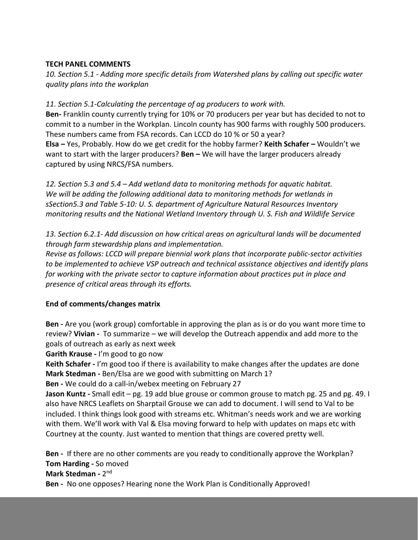#### **TECH PANEL COMMENTS**

*10. Section 5.1 - Adding more specific details from Watershed plans by calling out specific water quality plans into the workplan*

#### *11. Section 5.1-Calculating the percentage of ag producers to work with.*

**Ben-** Franklin county currently trying for 10% or 70 producers per year but has decided to not to commit to a number in the Workplan. Lincoln county has 900 farms with roughly 500 producers. These numbers came from FSA records. Can LCCD do 10 % or 50 a year? **Elsa –** Yes, Probably. How do we get credit for the hobby farmer? **Keith Schafer –** Wouldn't we want to start with the larger producers? **Ben –** We will have the larger producers already captured by using NRCS/FSA numbers.

*12. Section 5.3 and 5.4 – Add wetland data to monitoring methods for aquatic habitat. We will be adding the following additional data to monitoring methods for wetlands in sSection5.3 and Table 5-10: U. S. department of Agriculture Natural Resources Inventory monitoring results and the National Wetland Inventory through U. S. Fish and Wildlife Service*

*13. Section 6.2.1- Add discussion on how critical areas on agricultural lands will be documented through farm stewardship plans and implementation.*

*Revise as follows: LCCD will prepare biennial work plans that incorporate public-sector activities to be implemented to achieve VSP outreach and technical assistance objectives and identify plans for working with the private sector to capture information about practices put in place and presence of critical areas through its efforts.*

## **End of comments/changes matrix**

**Ben -** Are you (work group) comfortable in approving the plan as is or do you want more time to review? **Vivian -** To summarize – we will develop the Outreach appendix and add more to the goals of outreach as early as next week

**Garith Krause -** I'm good to go now

**Keith Schafer -** I'm good too if there is availability to make changes after the updates are done **Mark Stedman -** Ben/Elsa are we good with submitting on March 1?

**Ben -** We could do a call-in/webex meeting on February 27

**Jason Kuntz -** Small edit – pg. 19 add blue grouse or common grouse to match pg. 25 and pg. 49. I also have NRCS Leaflets on Sharptail Grouse we can add to document. I will send to Val to be included. I think things look good with streams etc. Whitman's needs work and we are working with them. We'll work with Val & Elsa moving forward to help with updates on maps etc with Courtney at the county. Just wanted to mention that things are covered pretty well.

**Ben -** If there are no other comments are you ready to conditionally approve the Workplan? **Tom Harding -** So moved **Mark Stedman -** 2 nd **Ben -** No one opposes? Hearing none the Work Plan is Conditionally Approved!